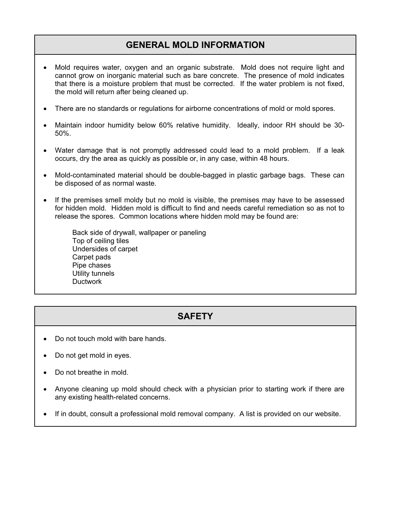## **GENERAL MOLD INFORMATION**

- Mold requires water, oxygen and an organic substrate. Mold does not require light and cannot grow on inorganic material such as bare concrete. The presence of mold indicates that there is a moisture problem that must be corrected. If the water problem is not fixed, the mold will return after being cleaned up.
- There are no standards or regulations for airborne concentrations of mold or mold spores.
- Maintain indoor humidity below 60% relative humidity. Ideally, indoor RH should be 30- 50%.
- Water damage that is not promptly addressed could lead to a mold problem. If a leak occurs, dry the area as quickly as possible or, in any case, within 48 hours.
- Mold-contaminated material should be double-bagged in plastic garbage bags. These can be disposed of as normal waste.
- If the premises smell moldy but no mold is visible, the premises may have to be assessed for hidden mold. Hidden mold is difficult to find and needs careful remediation so as not to release the spores. Common locations where hidden mold may be found are:

Back side of drywall, wallpaper or paneling Top of ceiling tiles Undersides of carpet Carpet pads Pipe chases Utility tunnels **Ductwork** 

## **SAFETY**

- Do not touch mold with bare hands.
- Do not get mold in eyes.
- Do not breathe in mold.
- Anyone cleaning up mold should check with a physician prior to starting work if there are any existing health-related concerns.
- If in doubt, consult a professional mold removal company. A list is provided on our website.